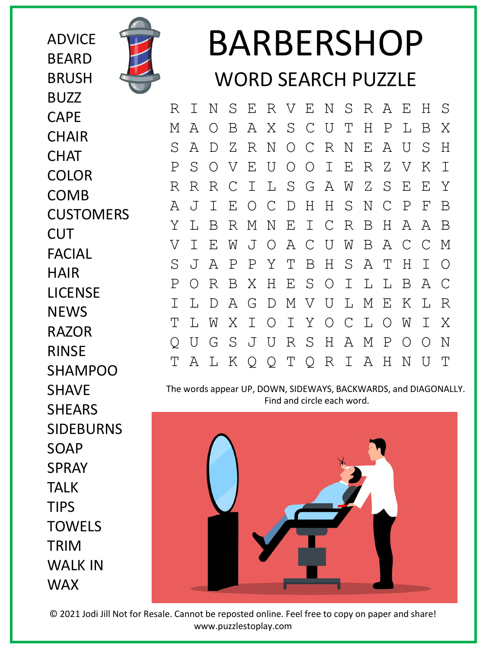ADVICE BEARD **BRUSH** BUZZ CAPE **CHAIR CHAT** COLOR COMB **CUSTOMERS CUT** FACIAL HAIR LICENSE **NEWS** RAZOR RINSE SHAMPOO **SHAVE SHEARS** SIDEBURNS SOAP SPRAY TALK TIPS TOWELS TRIM WALK IN

WAX



## BARBERSHOP WORD SEARCH PUZZLE

R I N S E R V E N S R A E H S M A O B A X S C U T H P L B X S A D Z R N O C R N E A U S H P S O V E U O O I E R Z V K I R R R C I L S G A W Z S E E Y A J I E O C D H H S N C P F B Y L B R M N E I C R B H A A B V I E W J O A C U W B A C C M S J A P P Y T B H S A T H I O P O R B X H E S O I L L B A C I L D A G D M V U L M E K L R T L W X I O I Y O C L O W I X Q U G S J U R S H A M P O O N T A L K Q Q T Q R I A H N U T

The words appear UP, DOWN, SIDEWAYS, BACKWARDS, and DIAGONALLY. Find and circle each word.



© 2021 Jodi Jill Not for Resale. Cannot be reposted online. Feel free to copy on paper and share! www.puzzlestoplay.com